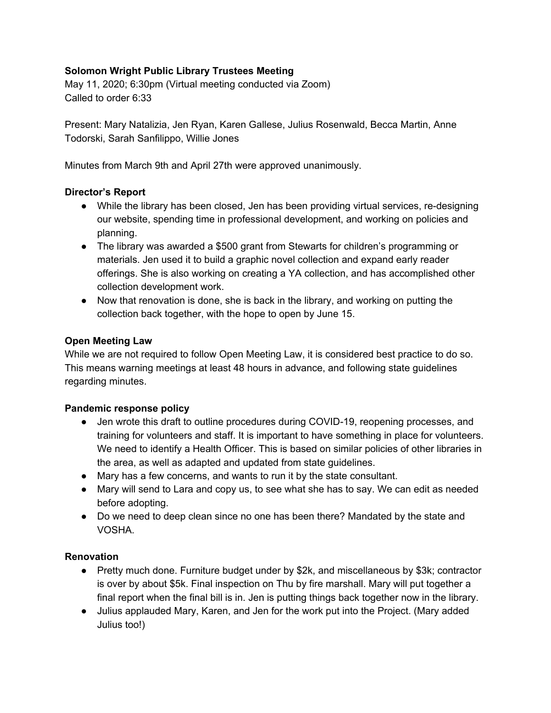# **Solomon Wright Public Library Trustees Meeting**

May 11, 2020; 6:30pm (Virtual meeting conducted via Zoom) Called to order 6:33

Present: Mary Natalizia, Jen Ryan, Karen Gallese, Julius Rosenwald, Becca Martin, Anne Todorski, Sarah Sanfilippo, Willie Jones

Minutes from March 9th and April 27th were approved unanimously.

### **Director's Report**

- While the library has been closed, Jen has been providing virtual services, re-designing our website, spending time in professional development, and working on policies and planning.
- The library was awarded a \$500 grant from Stewarts for children's programming or materials. Jen used it to build a graphic novel collection and expand early reader offerings. She is also working on creating a YA collection, and has accomplished other collection development work.
- Now that renovation is done, she is back in the library, and working on putting the collection back together, with the hope to open by June 15.

### **Open Meeting Law**

While we are not required to follow Open Meeting Law, it is considered best practice to do so. This means warning meetings at least 48 hours in advance, and following state guidelines regarding minutes.

## **Pandemic response policy**

- Jen wrote this draft to outline procedures during COVID-19, reopening processes, and training for volunteers and staff. It is important to have something in place for volunteers. We need to identify a Health Officer. This is based on similar policies of other libraries in the area, as well as adapted and updated from state guidelines.
- Mary has a few concerns, and wants to run it by the state consultant.
- Mary will send to Lara and copy us, to see what she has to say. We can edit as needed before adopting.
- Do we need to deep clean since no one has been there? Mandated by the state and VOSHA.

## **Renovation**

- Pretty much done. Furniture budget under by \$2k, and miscellaneous by \$3k; contractor is over by about \$5k. Final inspection on Thu by fire marshall. Mary will put together a final report when the final bill is in. Jen is putting things back together now in the library.
- Julius applauded Mary, Karen, and Jen for the work put into the Project. (Mary added Julius too!)